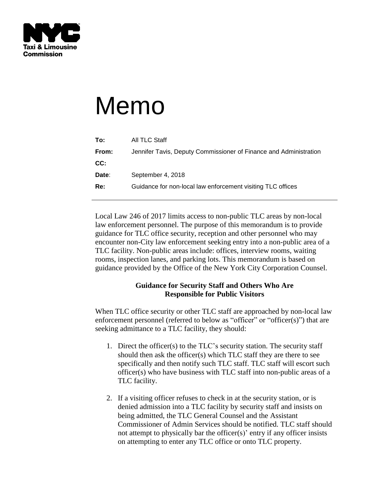

## Memo

| To:   | All TLC Staff                                                     |
|-------|-------------------------------------------------------------------|
| From: | Jennifer Tavis, Deputy Commissioner of Finance and Administration |
| CC:   |                                                                   |
| Date: | September 4, 2018                                                 |
| Re:   | Guidance for non-local law enforcement visiting TLC offices       |
|       |                                                                   |

Local Law 246 of 2017 limits access to non-public TLC areas by non-local law enforcement personnel. The purpose of this memorandum is to provide guidance for TLC office security, reception and other personnel who may encounter non-City law enforcement seeking entry into a non-public area of a TLC facility. Non-public areas include: offices, interview rooms, waiting rooms, inspection lanes, and parking lots. This memorandum is based on guidance provided by the Office of the New York City Corporation Counsel.

## **Guidance for Security Staff and Others Who Are Responsible for Public Visitors**

When TLC office security or other TLC staff are approached by non-local law enforcement personnel (referred to below as "officer" or "officer(s)") that are seeking admittance to a TLC facility, they should:

- 1. Direct the officer(s) to the TLC's security station. The security staff should then ask the officer(s) which TLC staff they are there to see specifically and then notify such TLC staff. TLC staff will escort such officer(s) who have business with TLC staff into non-public areas of a TLC facility.
- 2. If a visiting officer refuses to check in at the security station, or is denied admission into a TLC facility by security staff and insists on being admitted, the TLC General Counsel and the Assistant Commissioner of Admin Services should be notified. TLC staff should not attempt to physically bar the officer(s)' entry if any officer insists on attempting to enter any TLC office or onto TLC property.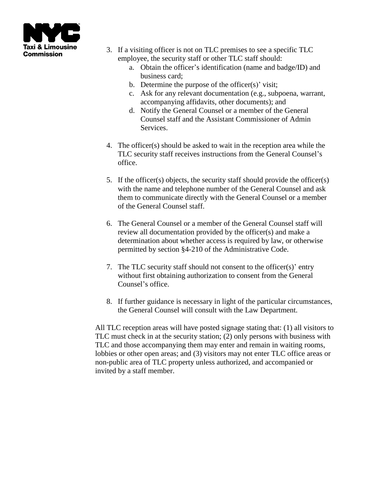

- 3. If a visiting officer is not on TLC premises to see a specific TLC employee, the security staff or other TLC staff should:
	- a. Obtain the officer's identification (name and badge/ID) and business card;
	- b. Determine the purpose of the officer(s)' visit;
	- c. Ask for any relevant documentation (e.g., subpoena, warrant, accompanying affidavits, other documents); and
	- d. Notify the General Counsel or a member of the General Counsel staff and the Assistant Commissioner of Admin Services.
- 4. The officer(s) should be asked to wait in the reception area while the TLC security staff receives instructions from the General Counsel's office.
- 5. If the officer(s) objects, the security staff should provide the officer(s) with the name and telephone number of the General Counsel and ask them to communicate directly with the General Counsel or a member of the General Counsel staff.
- 6. The General Counsel or a member of the General Counsel staff will review all documentation provided by the officer(s) and make a determination about whether access is required by law, or otherwise permitted by section §4-210 of the Administrative Code.
- 7. The TLC security staff should not consent to the officer(s)' entry without first obtaining authorization to consent from the General Counsel's office.
- 8. If further guidance is necessary in light of the particular circumstances, the General Counsel will consult with the Law Department.

All TLC reception areas will have posted signage stating that: (1) all visitors to TLC must check in at the security station; (2) only persons with business with TLC and those accompanying them may enter and remain in waiting rooms, lobbies or other open areas; and (3) visitors may not enter TLC office areas or non-public area of TLC property unless authorized, and accompanied or invited by a staff member.